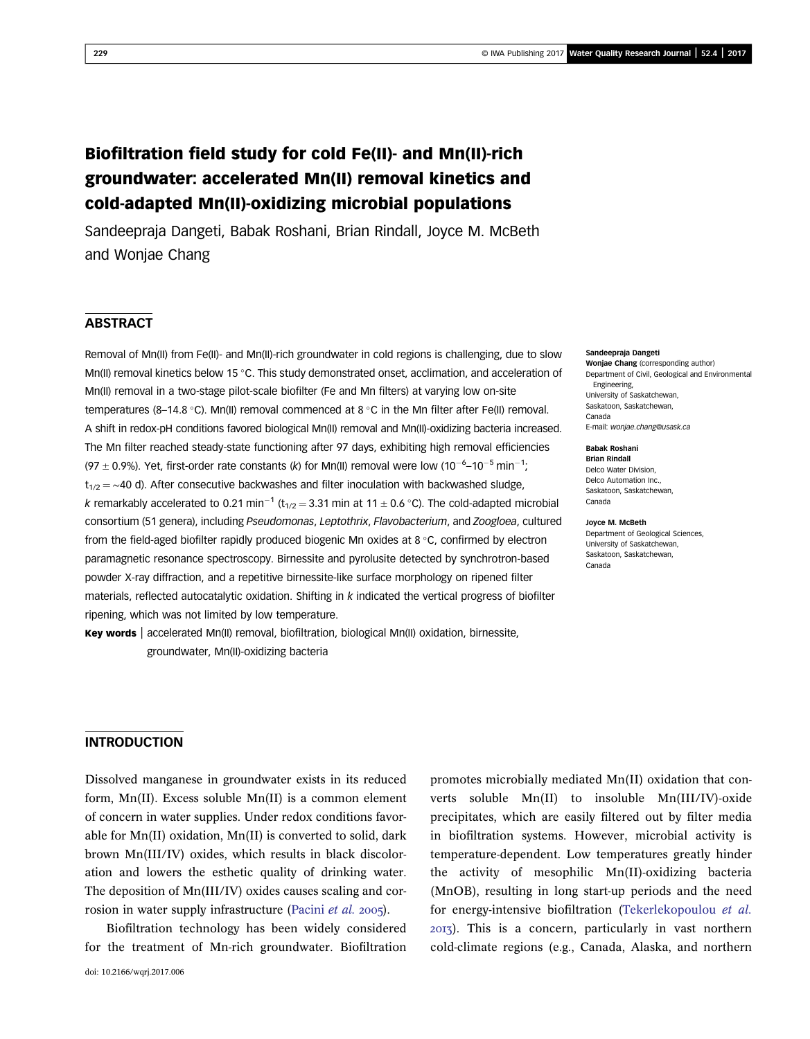# Biofiltration field study for cold Fe(II)- and Mn(II)-rich groundwater: accelerated Mn(II) removal kinetics and cold-adapted Mn(II)-oxidizing microbial populations

Sandeepraja Dangeti, Babak Roshani, Brian Rindall, Joyce M. McBeth and Wonjae Chang

### **ABSTRACT**

Removal of Mn(II) from Fe(II)- and Mn(II)-rich groundwater in cold regions is challenging, due to slow Mn(II) removal kinetics below 15 °C. This study demonstrated onset, acclimation, and acceleration of Mn(II) removal in a two-stage pilot-scale biofilter (Fe and Mn filters) at varying low on-site temperatures (8–14.8 °C). Mn(II) removal commenced at 8 °C in the Mn filter after Fe(II) removal. A shift in redox-pH conditions favored biological Mn(II) removal and Mn(II)-oxidizing bacteria increased. The Mn filter reached steady-state functioning after 97 days, exhibiting high removal efficiencies (97  $\pm$  0.9%). Yet, first-order rate constants (k) for Mn(II) removal were low (10<sup>-6</sup>-10<sup>-5</sup> min<sup>-1</sup>;  $t_{1/2} = \sim 40$  d). After consecutive backwashes and filter inoculation with backwashed sludge, k remarkably accelerated to 0.21 min<sup>-1</sup> (t<sub>1/2</sub> = 3.31 min at 11  $\pm$  0.6 °C). The cold-adapted microbial consortium (51 genera), including Pseudomonas, Leptothrix, Flavobacterium, and Zoogloea, cultured from the field-aged biofilter rapidly produced biogenic Mn oxides at  $8\degree$ C, confirmed by electron paramagnetic resonance spectroscopy. Birnessite and pyrolusite detected by synchrotron-based powder X-ray diffraction, and a repetitive birnessite-like surface morphology on ripened filter materials, reflected autocatalytic oxidation. Shifting in  $k$  indicated the vertical progress of biofilter ripening, which was not limited by low temperature.

Key words | accelerated Mn(II) removal, biofiltration, biological Mn(II) oxidation, birnessite, groundwater, Mn(II)-oxidizing bacteria

#### Sandeepraja Dangeti

Woniae Chang (corresponding author) Department of Civil, Geological and Environmental Engineering, University of Saskatchewan, Saskatoon, Saskatchewan, Canada E-mail: [wonjae.chang@usask.ca](mailto:wonjae.chang@usask.ca)

#### Babak Roshani Brian Rindall

Delco Water Division, Delco Automation Inc., Saskatoon, Saskatchewan, Canada

#### Joyce M. McBeth Department of Geological Sciences,

University of Saskatchewan, Saskatoon, Saskatchewan, Canada

### INTRODUCTION

Dissolved manganese in groundwater exists in its reduced form, Mn(II). Excess soluble Mn(II) is a common element of concern in water supplies. Under redox conditions favorable for Mn(II) oxidation, Mn(II) is converted to solid, dark brown Mn(III/IV) oxides, which results in black discoloration and lowers the esthetic quality of drinking water. The deposition of Mn(III/IV) oxides causes scaling and cor-rosion in water supply infrastructure [\(Pacini](#page-12-0) et al. 2005).

Biofiltration technology has been widely considered for the treatment of Mn-rich groundwater. Biofiltration promotes microbially mediated Mn(II) oxidation that converts soluble Mn(II) to insoluble Mn(III/IV)-oxide precipitates, which are easily filtered out by filter media in biofiltration systems. However, microbial activity is temperature-dependent. Low temperatures greatly hinder the activity of mesophilic Mn(II)-oxidizing bacteria (MnOB), resulting in long start-up periods and the need for energy-intensive biofiltration ([Tekerlekopoulou](#page-13-0) et al. ). This is a concern, particularly in vast northern cold-climate regions (e.g., Canada, Alaska, and northern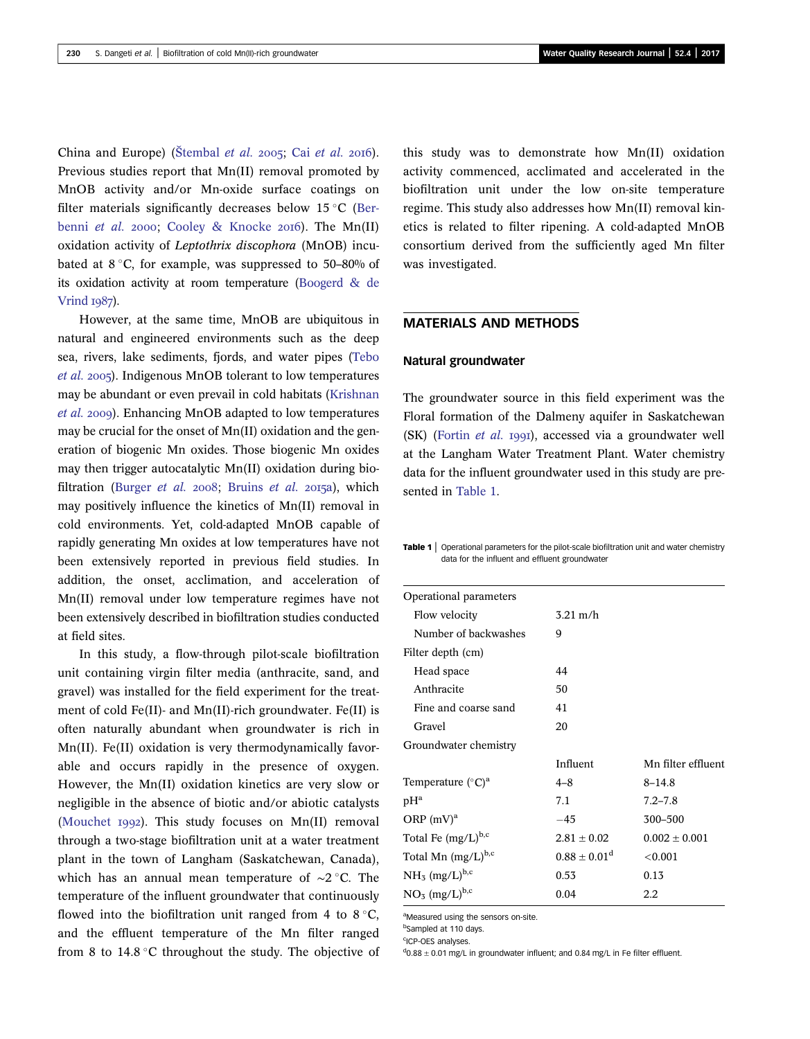<span id="page-1-0"></span>China and Europe) (Š[tembal](#page-12-0) [et al.](#page-12-0) 2005; Cai et al. 2016). Previous studies report that Mn(II) removal promoted by MnOB activity and/or Mn-oxide surface coatings on filter materials significantly decreases below  $15^{\circ}$ C [\(Ber](#page-12-0)[benni](#page-12-0) et al. 2000; [Cooley & Knocke](#page-12-0) 2016). The Mn(II) oxidation activity of Leptothrix discophora (MnOB) incubated at  $8\degree$ C, for example, was suppressed to 50–80% of its oxidation activity at room temperature ([Boogerd & de](#page-12-0) [Vrind](#page-12-0)  $1987$ ).

However, at the same time, MnOB are ubiquitous in natural and engineered environments such as the deep sea, rivers, lake sediments, fjords, and water pipes [\(Tebo](#page-12-0) [et al.](#page-12-0) 2005). Indigenous MnOB tolerant to low temperatures may be abundant or even prevail in cold habitats [\(Krishnan](#page-12-0) [et al.](#page-12-0) 2009). Enhancing MnOB adapted to low temperatures may be crucial for the onset of Mn(II) oxidation and the generation of biogenic Mn oxides. Those biogenic Mn oxides may then trigger autocatalytic Mn(II) oxidation during bio-filtration [\(Burger](#page-12-0) et al. 2008; [Bruins](#page-12-0) et al. 2015a), which may positively influence the kinetics of Mn(II) removal in cold environments. Yet, cold-adapted MnOB capable of rapidly generating Mn oxides at low temperatures have not been extensively reported in previous field studies. In addition, the onset, acclimation, and acceleration of Mn(II) removal under low temperature regimes have not been extensively described in biofiltration studies conducted at field sites.

In this study, a flow-through pilot-scale biofiltration unit containing virgin filter media (anthracite, sand, and gravel) was installed for the field experiment for the treatment of cold Fe(II)- and Mn(II)-rich groundwater. Fe(II) is often naturally abundant when groundwater is rich in Mn(II). Fe(II) oxidation is very thermodynamically favorable and occurs rapidly in the presence of oxygen. However, the Mn(II) oxidation kinetics are very slow or negligible in the absence of biotic and/or abiotic catalysts ([Mouchet](#page-12-0) 1992). This study focuses on  $Mn(II)$  removal through a two-stage biofiltration unit at a water treatment plant in the town of Langham (Saskatchewan, Canada), which has an annual mean temperature of ~2 °C. The temperature of the influent groundwater that continuously flowed into the biofiltration unit ranged from 4 to  $8^{\circ}$ C, and the effluent temperature of the Mn filter ranged from 8 to  $14.8\textdegree C$  throughout the study. The objective of this study was to demonstrate how Mn(II) oxidation activity commenced, acclimated and accelerated in the biofiltration unit under the low on-site temperature regime. This study also addresses how Mn(II) removal kinetics is related to filter ripening. A cold-adapted MnOB consortium derived from the sufficiently aged Mn filter was investigated.

### MATERIALS AND METHODS

#### Natural groundwater

The groundwater source in this field experiment was the Floral formation of the Dalmeny aquifer in Saskatchewan (SK) ([Fortin](#page-12-0) et al. 1991), accessed via a groundwater well at the Langham Water Treatment Plant. Water chemistry data for the influent groundwater used in this study are presented in Table 1.

Table 1 | Operational parameters for the pilot-scale biofiltration unit and water chemistry data for the influent and effluent groundwater

| Operational parameters          |                    |                    |  |
|---------------------------------|--------------------|--------------------|--|
| Flow velocity                   | $3.21 \text{ m/h}$ |                    |  |
| Number of backwashes            | 9                  |                    |  |
| Filter depth (cm)               |                    |                    |  |
| Head space                      | 44                 |                    |  |
| Anthracite                      | 50                 |                    |  |
| Fine and coarse sand            | 41                 |                    |  |
| Gravel                          | 20                 |                    |  |
| Groundwater chemistry           |                    |                    |  |
|                                 | Influent           | Mn filter effluent |  |
| Temperature $({}^{\circ}C)^{a}$ | $4 - 8$            | $8 - 14.8$         |  |
| $pH^a$                          | 7.1                | $7.2 - 7.8$        |  |
| ORP $(mV)^a$                    | $-45$              | 300-500            |  |
| Total Fe $(mg/L)^{b,c}$         | $2.81 \pm 0.02$    | $0.002 + 0.001$    |  |
| Total Mn $(mg/L)^{b,c}$         | $0.88 \pm 0.01^d$  | < 0.001            |  |
| $NH_3$ (mg/L) <sup>b,c</sup>    | 0.53               | 0.13               |  |
| $NO3$ (mg/L) <sup>b,c</sup>     | 0.04               | 2.2                |  |

aMeasured using the sensors on-site.

bSampled at 110 days.

<sup>c</sup>ICP-OES analyses.

 $^{d}$ 0.88  $\pm$  0.01 mg/L in groundwater influent; and 0.84 mg/L in Fe filter effluent.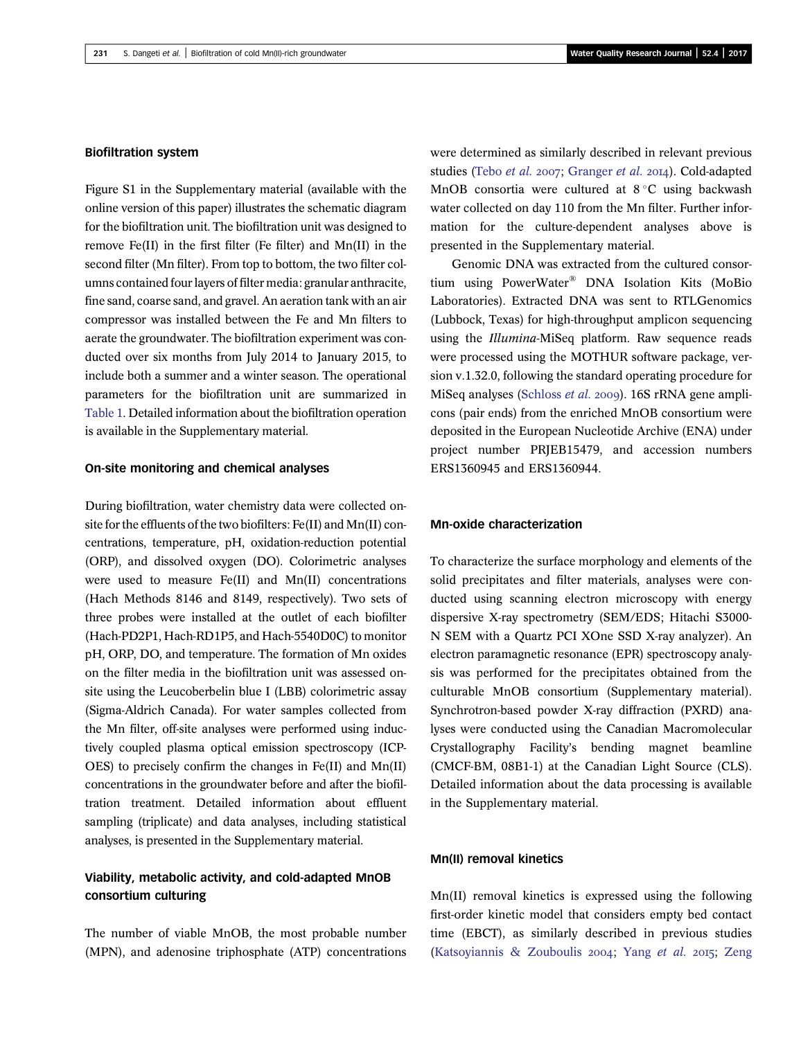#### Biofiltration system

Figure S1 in the Supplementary material (available with the online version of this paper) illustrates the schematic diagram for the biofiltration unit. The biofiltration unit was designed to remove Fe(II) in the first filter (Fe filter) and Mn(II) in the second filter (Mn filter). From top to bottom, the two filter columns contained four layers of filter media: granular anthracite, fine sand, coarse sand, and gravel. An aeration tank with an air compressor was installed between the Fe and Mn filters to aerate the groundwater. The biofiltration experiment was conducted over six months from July 2014 to January 2015, to include both a summer and a winter season. The operational parameters for the biofiltration unit are summarized in [Table 1.](#page-1-0) Detailed information about the biofiltration operation is available in the Supplementary material.

#### On-site monitoring and chemical analyses

During biofiltration, water chemistry data were collected onsite for the effluents of the two biofilters: Fe(II) and Mn(II) concentrations, temperature, pH, oxidation-reduction potential (ORP), and dissolved oxygen (DO). Colorimetric analyses were used to measure Fe(II) and Mn(II) concentrations (Hach Methods 8146 and 8149, respectively). Two sets of three probes were installed at the outlet of each biofilter (Hach-PD2P1, Hach-RD1P5, and Hach-5540D0C) to monitor pH, ORP, DO, and temperature. The formation of Mn oxides on the filter media in the biofiltration unit was assessed onsite using the Leucoberbelin blue I (LBB) colorimetric assay (Sigma-Aldrich Canada). For water samples collected from the Mn filter, off-site analyses were performed using inductively coupled plasma optical emission spectroscopy (ICP-OES) to precisely confirm the changes in Fe(II) and Mn(II) concentrations in the groundwater before and after the biofiltration treatment. Detailed information about effluent sampling (triplicate) and data analyses, including statistical analyses, is presented in the Supplementary material.

# Viability, metabolic activity, and cold-adapted MnOB consortium culturing

The number of viable MnOB, the most probable number (MPN), and adenosine triphosphate (ATP) concentrations were determined as similarly described in relevant previous studies ([Tebo](#page-12-0) et al. 2007; [Granger](#page-12-0) et al. 2014). Cold-adapted MnOB consortia were cultured at  $8^{\circ}$ C using backwash water collected on day 110 from the Mn filter. Further information for the culture-dependent analyses above is presented in the Supplementary material.

Genomic DNA was extracted from the cultured consortium using PowerWater® DNA Isolation Kits (MoBio Laboratories). Extracted DNA was sent to RTLGenomics (Lubbock, Texas) for high-throughput amplicon sequencing using the Illumina-MiSeq platform. Raw sequence reads were processed using the MOTHUR software package, version v.1.32.0, following the standard operating procedure for MiSeq analyses [\(Schloss](#page-12-0) et al. 2009). 16S rRNA gene amplicons (pair ends) from the enriched MnOB consortium were deposited in the European Nucleotide Archive (ENA) under project number PRJEB15479, and accession numbers ERS1360945 and ERS1360944.

### Mn-oxide characterization

To characterize the surface morphology and elements of the solid precipitates and filter materials, analyses were conducted using scanning electron microscopy with energy dispersive X-ray spectrometry (SEM/EDS; Hitachi S3000- N SEM with a Quartz PCI XOne SSD X-ray analyzer). An electron paramagnetic resonance (EPR) spectroscopy analysis was performed for the precipitates obtained from the culturable MnOB consortium (Supplementary material). Synchrotron-based powder X-ray diffraction (PXRD) analyses were conducted using the Canadian Macromolecular Crystallography Facility's bending magnet beamline (CMCF-BM, 08B1-1) at the Canadian Light Source (CLS). Detailed information about the data processing is available in the Supplementary material.

### Mn(II) removal kinetics

Mn(II) removal kinetics is expressed using the following first-order kinetic model that considers empty bed contact time (EBCT), as similarly described in previous studies [\(Katsoyiannis & Zouboulis](#page-12-0) 2004; Yang [et al.](#page-13-0) 2015; [Zeng](#page-13-0)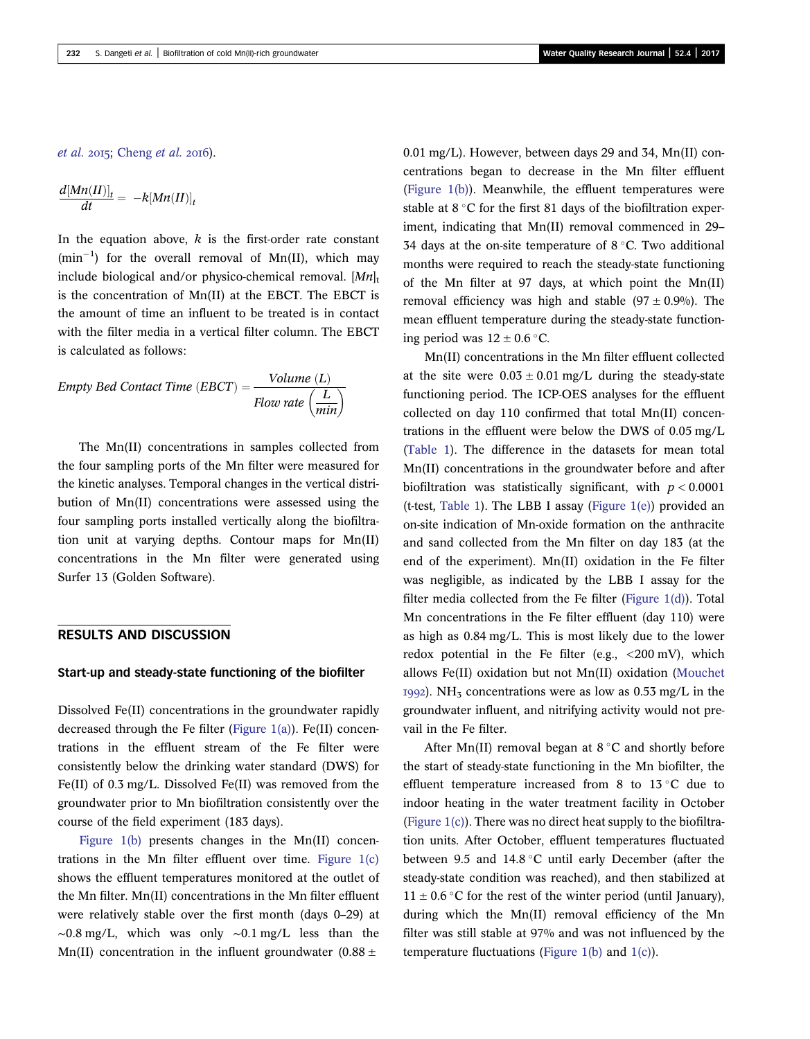[et al.](#page-13-0) 2015; [Cheng](#page-12-0) et al. 2016).

$$
\frac{d[Mn(II)]_t}{dt} = -k[Mn(II)]_t
$$

In the equation above,  $k$  is the first-order rate constant  $(min^{-1})$  for the overall removal of Mn(II), which may include biological and/or physico-chemical removal.  $[Mn]_t$ is the concentration of Mn(II) at the EBCT. The EBCT is the amount of time an influent to be treated is in contact with the filter media in a vertical filter column. The EBCT is calculated as follows:

$$
Empty Bed Contact Time (EBCT) = \frac{Volume (L)}{Flow rate (\frac{L}{min})}
$$

The Mn(II) concentrations in samples collected from the four sampling ports of the Mn filter were measured for the kinetic analyses. Temporal changes in the vertical distribution of Mn(II) concentrations were assessed using the four sampling ports installed vertically along the biofiltration unit at varying depths. Contour maps for Mn(II) concentrations in the Mn filter were generated using Surfer 13 (Golden Software).

### RESULTS AND DISCUSSION

#### Start-up and steady-state functioning of the biofilter

Dissolved Fe(II) concentrations in the groundwater rapidly decreased through the Fe filter (Figure  $1(a)$ ). Fe(II) concentrations in the effluent stream of the Fe filter were consistently below the drinking water standard (DWS) for Fe(II) of 0.3 mg/L. Dissolved Fe(II) was removed from the groundwater prior to Mn biofiltration consistently over the course of the field experiment (183 days).

[Figure 1\(b\)](#page-4-0) presents changes in the Mn(II) concentrations in the Mn filter effluent over time. Figure  $1(c)$ shows the effluent temperatures monitored at the outlet of the Mn filter. Mn(II) concentrations in the Mn filter effluent were relatively stable over the first month (days 0–29) at  $~\sim 0.8$  mg/L, which was only  $~\sim 0.1$  mg/L less than the Mn(II) concentration in the influent groundwater  $(0.88 \pm$ 

0.01 mg/L). However, between days 29 and 34, Mn(II) concentrations began to decrease in the Mn filter effluent ([Figure 1\(b\)](#page-4-0)). Meanwhile, the effluent temperatures were stable at  $8^{\circ}$ C for the first 81 days of the biofiltration experiment, indicating that Mn(II) removal commenced in 29– 34 days at the on-site temperature of  $8\degree$ C. Two additional months were required to reach the steady-state functioning of the Mn filter at 97 days, at which point the Mn(II) removal efficiency was high and stable  $(97 \pm 0.9\%)$ . The mean effluent temperature during the steady-state functioning period was  $12 \pm 0.6$  °C.

Mn(II) concentrations in the Mn filter effluent collected at the site were  $0.03 \pm 0.01$  mg/L during the steady-state functioning period. The ICP-OES analyses for the effluent collected on day 110 confirmed that total Mn(II) concentrations in the effluent were below the DWS of 0.05 mg/L ([Table 1\)](#page-1-0). The difference in the datasets for mean total Mn(II) concentrations in the groundwater before and after biofiltration was statistically significant, with  $p < 0.0001$ (t-test, [Table 1\)](#page-1-0). The LBB I assay (Figure  $1(e)$ ) provided an on-site indication of Mn-oxide formation on the anthracite and sand collected from the Mn filter on day 183 (at the end of the experiment). Mn(II) oxidation in the Fe filter was negligible, as indicated by the LBB I assay for the filter media collected from the Fe filter ([Figure 1\(d\)\)](#page-4-0). Total Mn concentrations in the Fe filter effluent (day 110) were as high as 0.84 mg/L. This is most likely due to the lower redox potential in the Fe filter (e.g.,  $\langle 200 \text{ mV} \rangle$ , which allows Fe(II) oxidation but not Mn(II) oxidation [\(Mouchet](#page-12-0) 1992). NH<sub>3</sub> concentrations were as low as  $0.53$  mg/L in the groundwater influent, and nitrifying activity would not prevail in the Fe filter.

After Mn(II) removal began at  $8^{\circ}$ C and shortly before the start of steady-state functioning in the Mn biofilter, the effluent temperature increased from 8 to  $13^{\circ}$ C due to indoor heating in the water treatment facility in October (Figure  $1(c)$ ). There was no direct heat supply to the biofiltration units. After October, effluent temperatures fluctuated between 9.5 and 14.8  $\degree$ C until early December (after the steady-state condition was reached), and then stabilized at  $11 \pm 0.6$  °C for the rest of the winter period (until January), during which the Mn(II) removal efficiency of the Mn filter was still stable at 97% and was not influenced by the temperature fluctuations ([Figure 1\(b\)](#page-4-0) and [1\(c\)](#page-4-0)).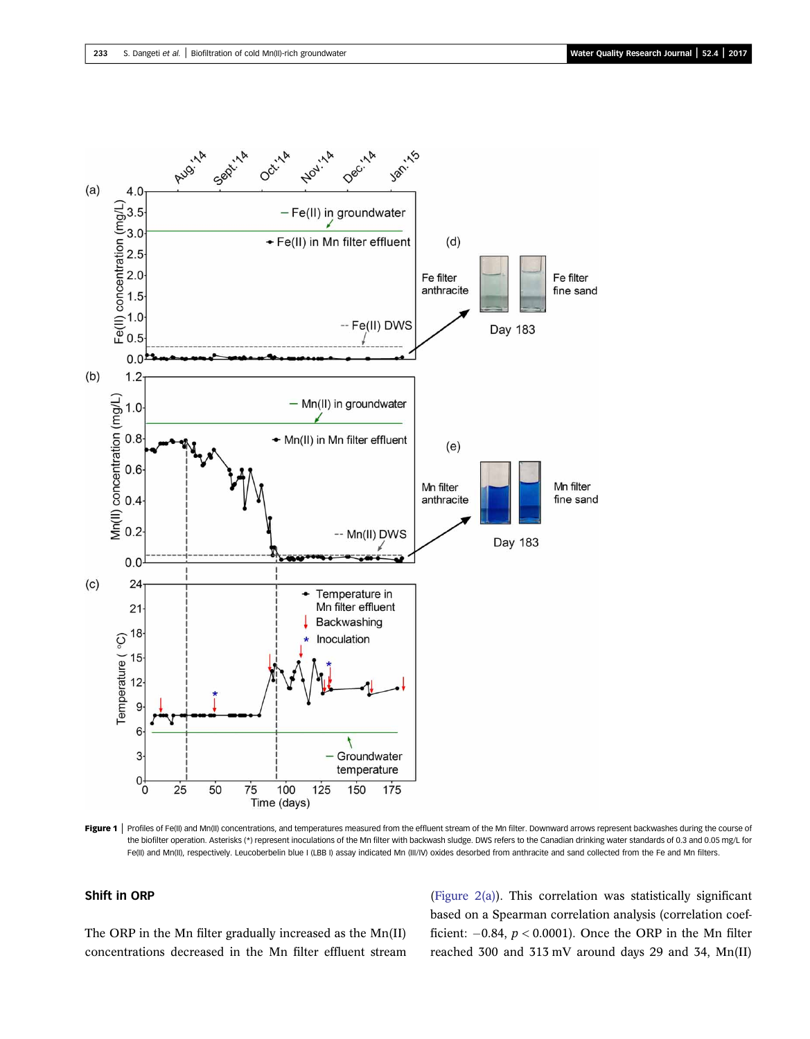<span id="page-4-0"></span>

Figure 1 | Profiles of Fe(II) and Mn(II) concentrations, and temperatures measured from the effluent stream of the Mn filter. Downward arrows represent backwashes during the course of the biofilter operation. Asterisks (\*) represent inoculations of the Mn filter with backwash sludge. DWS refers to the Canadian drinking water standards of 0.3 and 0.05 mg/L for Fe(II) and Mn(II), respectively. Leucoberbelin blue I (LBB I) assay indicated Mn (III/IV) oxides desorbed from anthracite and sand collected from the Fe and Mn filters.

### Shift in ORP

The ORP in the Mn filter gradually increased as the Mn(II) concentrations decreased in the Mn filter effluent stream [\(Figure 2\(a\)](#page-5-0)). This correlation was statistically significant based on a Spearman correlation analysis (correlation coefficient:  $-0.84$ ,  $p < 0.0001$ ). Once the ORP in the Mn filter reached 300 and 313 mV around days 29 and 34, Mn(II)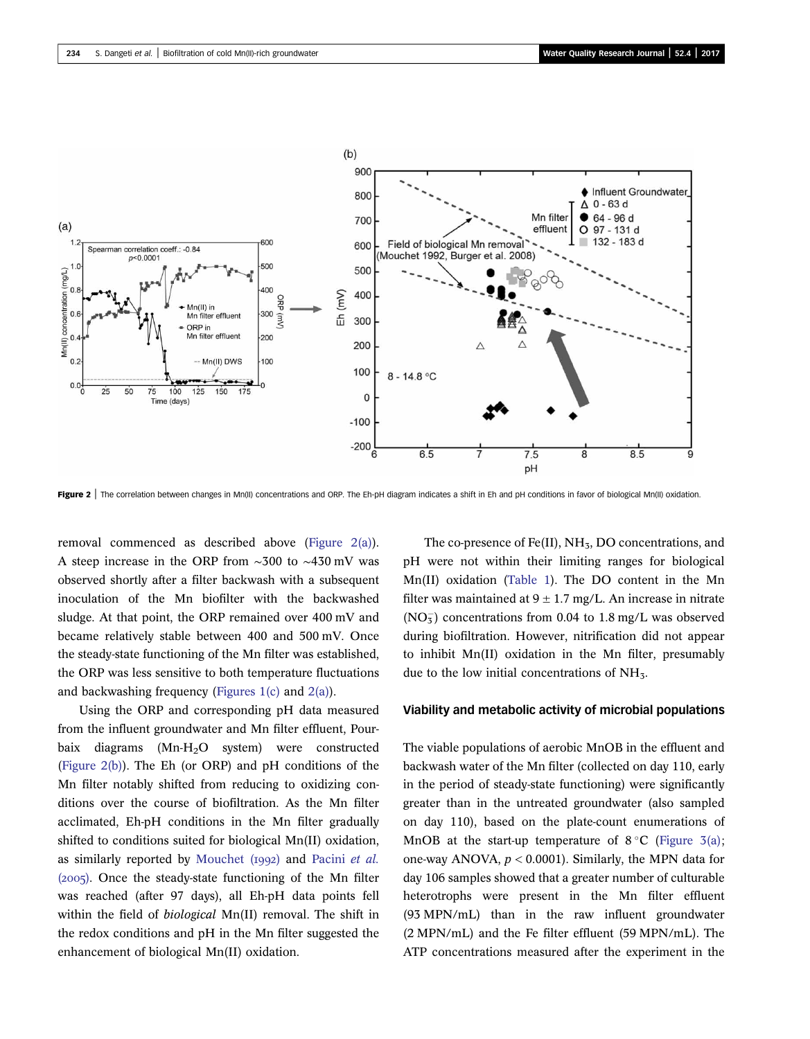<span id="page-5-0"></span>

Figure 2 | The correlation between changes in Mn(II) concentrations and ORP. The Eh-pH diagram indicates a shift in Eh and pH conditions in favor of biological Mn(II) oxidation.

removal commenced as described above (Figure 2(a)). A steep increase in the ORP from ∼300 to ∼430 mV was observed shortly after a filter backwash with a subsequent inoculation of the Mn biofilter with the backwashed sludge. At that point, the ORP remained over 400 mV and became relatively stable between 400 and 500 mV. Once the steady-state functioning of the Mn filter was established, the ORP was less sensitive to both temperature fluctuations and backwashing frequency (Figures  $1(c)$  and  $2(a)$ ).

Using the ORP and corresponding pH data measured from the influent groundwater and Mn filter effluent, Pourbaix diagrams (Mn-H<sub>2</sub>O system) were constructed (Figure 2(b)). The Eh (or ORP) and pH conditions of the Mn filter notably shifted from reducing to oxidizing conditions over the course of biofiltration. As the Mn filter acclimated, Eh-pH conditions in the Mn filter gradually shifted to conditions suited for biological Mn(II) oxidation, as similarly reported by Mouchet  $(1992)$  and [Pacini](#page-12-0) et al.  $(2005)$ . Once the steady-state functioning of the Mn filter was reached (after 97 days), all Eh-pH data points fell within the field of biological Mn(II) removal. The shift in the redox conditions and pH in the Mn filter suggested the enhancement of biological Mn(II) oxidation.

The co-presence of Fe(II),  $NH<sub>5</sub>$ , DO concentrations, and pH were not within their limiting ranges for biological Mn(II) oxidation [\(Table 1](#page-1-0)). The DO content in the Mn filter was maintained at  $9 \pm 1.7$  mg/L. An increase in nitrate  $(NO<sub>3</sub><sup>-</sup>)$  concentrations from 0.04 to 1.8 mg/L was observed during biofiltration. However, nitrification did not appear to inhibit Mn(II) oxidation in the Mn filter, presumably due to the low initial concentrations of  $NH<sub>3</sub>$ .

#### Viability and metabolic activity of microbial populations

The viable populations of aerobic MnOB in the effluent and backwash water of the Mn filter (collected on day 110, early in the period of steady-state functioning) were significantly greater than in the untreated groundwater (also sampled on day 110), based on the plate-count enumerations of MnOB at the start-up temperature of  $8^{\circ}$ C [\(Figure 3\(a\);](#page-6-0) one-way ANOVA,  $p < 0.0001$ ). Similarly, the MPN data for day 106 samples showed that a greater number of culturable heterotrophs were present in the Mn filter effluent (93 MPN/mL) than in the raw influent groundwater (2 MPN/mL) and the Fe filter effluent (59 MPN/mL). The ATP concentrations measured after the experiment in the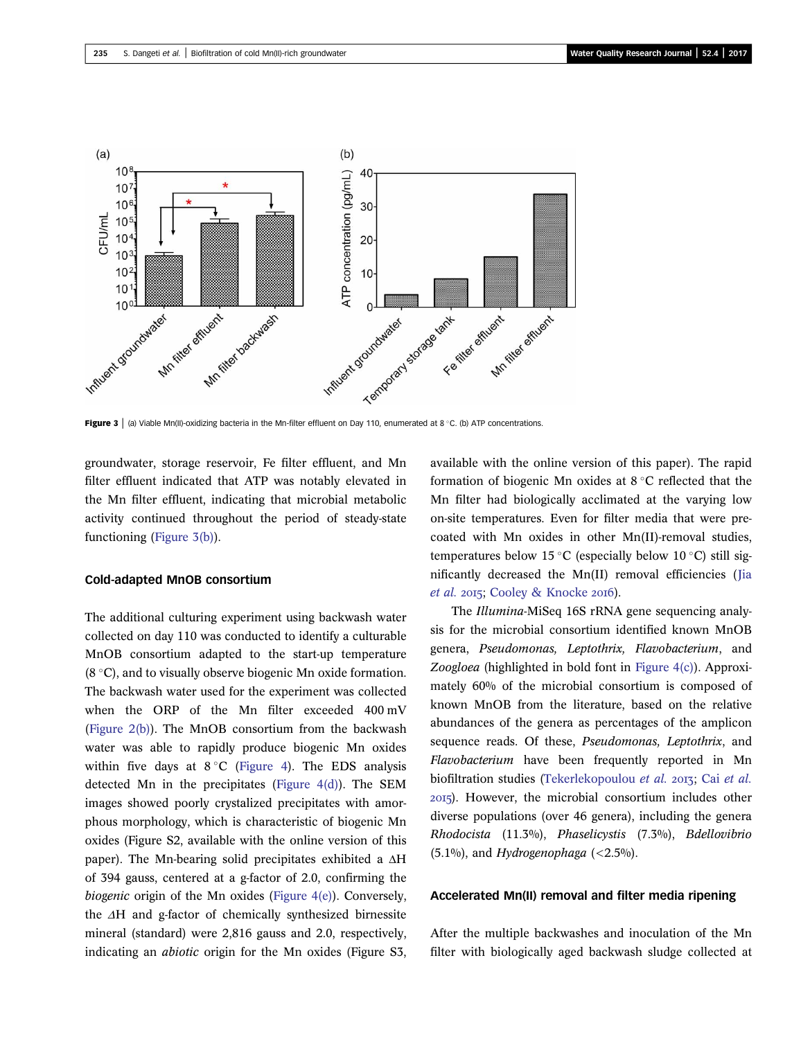<span id="page-6-0"></span>

Figure 3 | (a) Viable Mn(II)-oxidizing bacteria in the Mn-filter effluent on Day 110, enumerated at 8 °C. (b) ATP concentrations.

groundwater, storage reservoir, Fe filter effluent, and Mn filter effluent indicated that ATP was notably elevated in the Mn filter effluent, indicating that microbial metabolic activity continued throughout the period of steady-state functioning (Figure 3(b)).

#### Cold-adapted MnOB consortium

The additional culturing experiment using backwash water collected on day 110 was conducted to identify a culturable MnOB consortium adapted to the start-up temperature  $(8 °C)$ , and to visually observe biogenic Mn oxide formation. The backwash water used for the experiment was collected when the ORP of the Mn filter exceeded 400 mV [\(Figure 2\(b\)](#page-5-0)). The MnOB consortium from the backwash water was able to rapidly produce biogenic Mn oxides within five days at  $8\degree$ C [\(Figure 4\)](#page-7-0). The EDS analysis detected Mn in the precipitates ([Figure 4\(d\)\)](#page-7-0). The SEM images showed poorly crystalized precipitates with amorphous morphology, which is characteristic of biogenic Mn oxides (Figure S2, available with the online version of this paper). The Mn-bearing solid precipitates exhibited a ΔH of 394 gauss, centered at a g-factor of 2.0, confirming the biogenic origin of the Mn oxides ([Figure 4\(e\)](#page-7-0)). Conversely, the ΔH and g-factor of chemically synthesized birnessite mineral (standard) were 2,816 gauss and 2.0, respectively, indicating an abiotic origin for the Mn oxides (Figure S3, available with the online version of this paper). The rapid formation of biogenic Mn oxides at  $8^{\circ}$ C reflected that the Mn filter had biologically acclimated at the varying low on-site temperatures. Even for filter media that were precoated with Mn oxides in other Mn(II)-removal studies, temperatures below 15 °C (especially below 10 °C) still significantly decreased the Mn(II) removal efficiencies ([Jia](#page-12-0) [et al.](#page-12-0) 2015; [Cooley & Knocke](#page-12-0) 2016).

The Illumina-MiSeq 16S rRNA gene sequencing analysis for the microbial consortium identified known MnOB genera, Pseudomonas, Leptothrix, Flavobacterium, and Zoogloea (highlighted in bold font in [Figure 4\(c\)](#page-7-0)). Approximately 60% of the microbial consortium is composed of known MnOB from the literature, based on the relative abundances of the genera as percentages of the amplicon sequence reads. Of these, *Pseudomonas*, *Leptothrix*, and Flavobacterium have been frequently reported in Mn biofiltration studies [\(Tekerlekopoulou](#page-13-0) [et al.](#page-12-0) 2013; Cai et al. ). However, the microbial consortium includes other diverse populations (over 46 genera), including the genera Rhodocista (11.3%), Phaselicystis (7.3%), Bdellovibrio  $(5.1\%)$ , and Hydrogenophaga (<2.5%).

#### Accelerated Mn(II) removal and filter media ripening

After the multiple backwashes and inoculation of the Mn filter with biologically aged backwash sludge collected at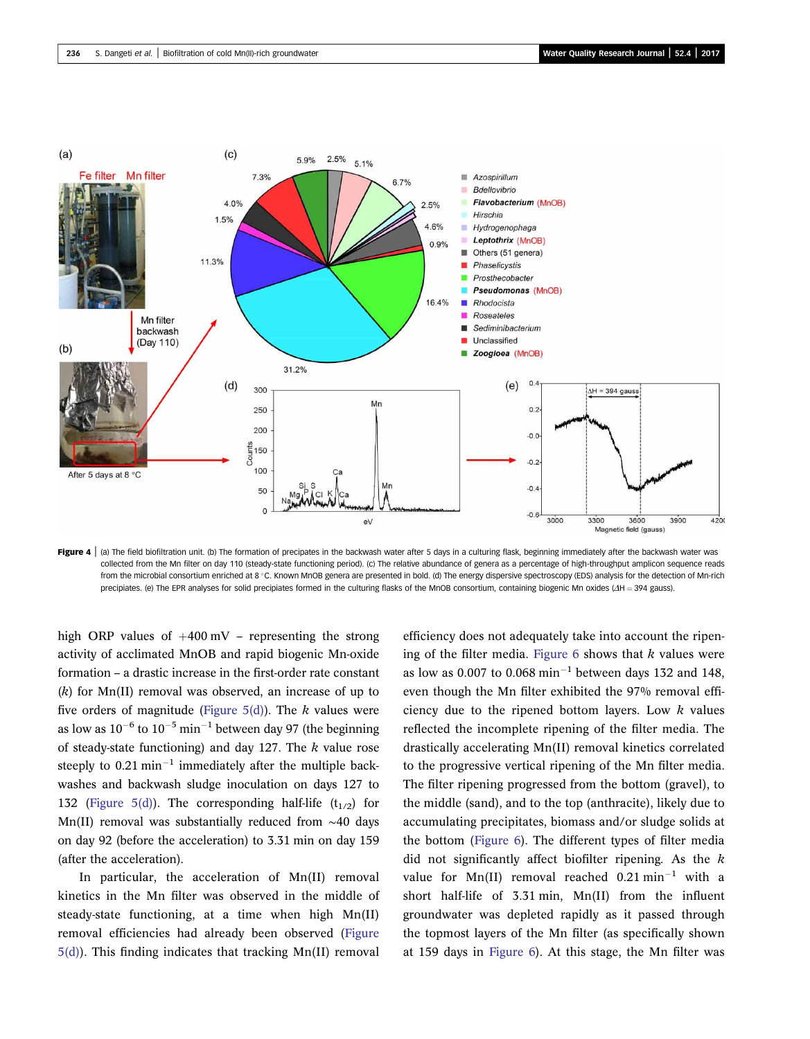<span id="page-7-0"></span>

Figure 4 | (a) The field biofiltration unit. (b) The formation of precipates in the backwash water after 5 days in a culturing flask, beginning immediately after the backwash water was collected from the Mn filter on day 110 (steady-state functioning period). (c) The relative abundance of genera as a percentage of high-throughput amplicon sequence reads from the microbial consortium enriched at 8 °C. Known MnOB genera are presented in bold. (d) The energy dispersive spectroscopy (EDS) analysis for the detection of Mn-rich precipiates. (e) The EPR analyses for solid precipiates formed in the culturing flasks of the MnOB consortium, containing biogenic Mn oxides (ΔH = 394 gauss).

high ORP values of  $+400$  mV – representing the strong activity of acclimated MnOB and rapid biogenic Mn-oxide formation – a drastic increase in the first-order rate constant  $(k)$  for Mn(II) removal was observed, an increase of up to five orders of magnitude (Figure  $5(d)$ ). The k values were as low as  $10^{-6}$  to  $10^{-5}$  min<sup>-1</sup> between day 97 (the beginning of steady-state functioning) and day 127. The  $k$  value rose steeply to  $0.21$  min<sup>-1</sup> immediately after the multiple backwashes and backwash sludge inoculation on days 127 to 132 [\(Figure 5\(d\)](#page-8-0)). The corresponding half-life  $(t_{1/2})$  for Mn(II) removal was substantially reduced from ∼40 days on day 92 (before the acceleration) to 3.31 min on day 159 (after the acceleration).

In particular, the acceleration of Mn(II) removal kinetics in the Mn filter was observed in the middle of steady-state functioning, at a time when high Mn(II) removal efficiencies had already been observed [\(Figure](#page-8-0) [5\(d\)](#page-8-0)). This finding indicates that tracking Mn(II) removal efficiency does not adequately take into account the ripening of the filter media. Figure  $6$  shows that  $k$  values were as low as 0.007 to 0.068  $min^{-1}$  between days 132 and 148, even though the Mn filter exhibited the 97% removal efficiency due to the ripened bottom layers. Low  $k$  values reflected the incomplete ripening of the filter media. The drastically accelerating Mn(II) removal kinetics correlated to the progressive vertical ripening of the Mn filter media. The filter ripening progressed from the bottom (gravel), to the middle (sand), and to the top (anthracite), likely due to accumulating precipitates, biomass and/or sludge solids at the bottom ([Figure 6\)](#page-9-0). The different types of filter media did not significantly affect biofilter ripening. As the  $k$ value for Mn(II) removal reached  $0.21$  min<sup>-1</sup> with a short half-life of 3.31 min, Mn(II) from the influent groundwater was depleted rapidly as it passed through the topmost layers of the Mn filter (as specifically shown at 159 days in [Figure 6](#page-9-0)). At this stage, the Mn filter was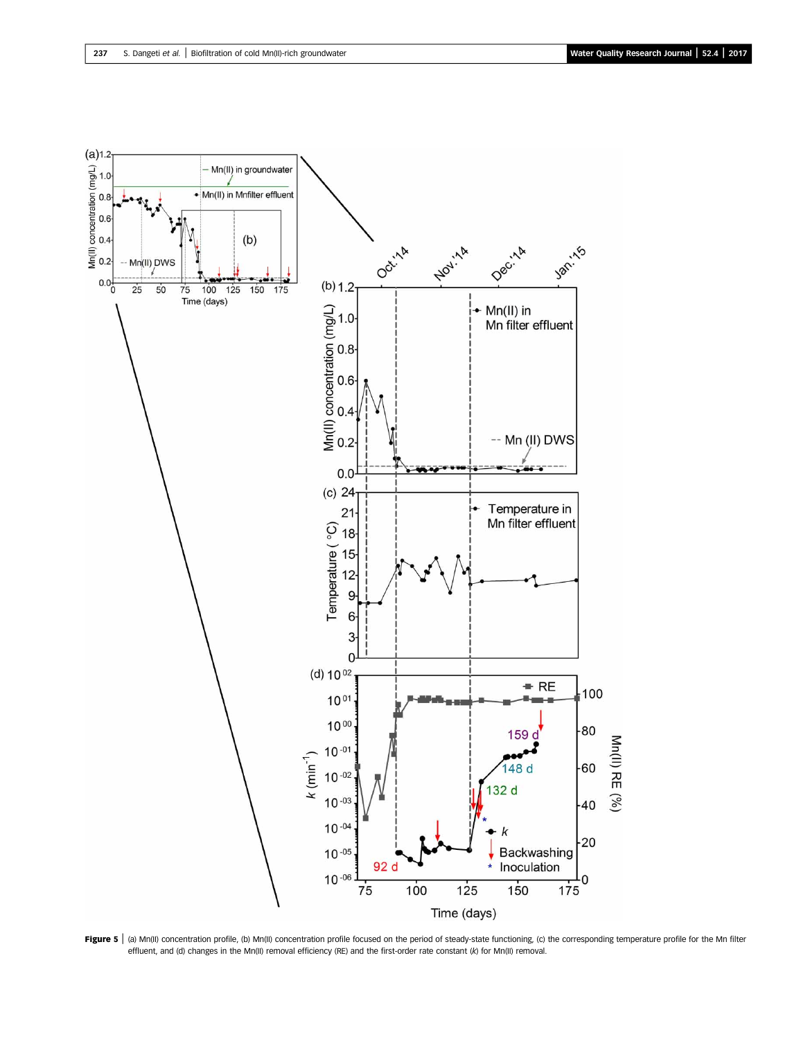<span id="page-8-0"></span>

Figure 5 | (a) Mn(II) concentration profile, (b) Mn(II) concentration profile focused on the period of steady-state functioning, (c) the corresponding temperature profile for the Mn filter effluent, and (d) changes in the Mn(II) removal efficiency (RE) and the first-order rate constant (k) for Mn(II) removal.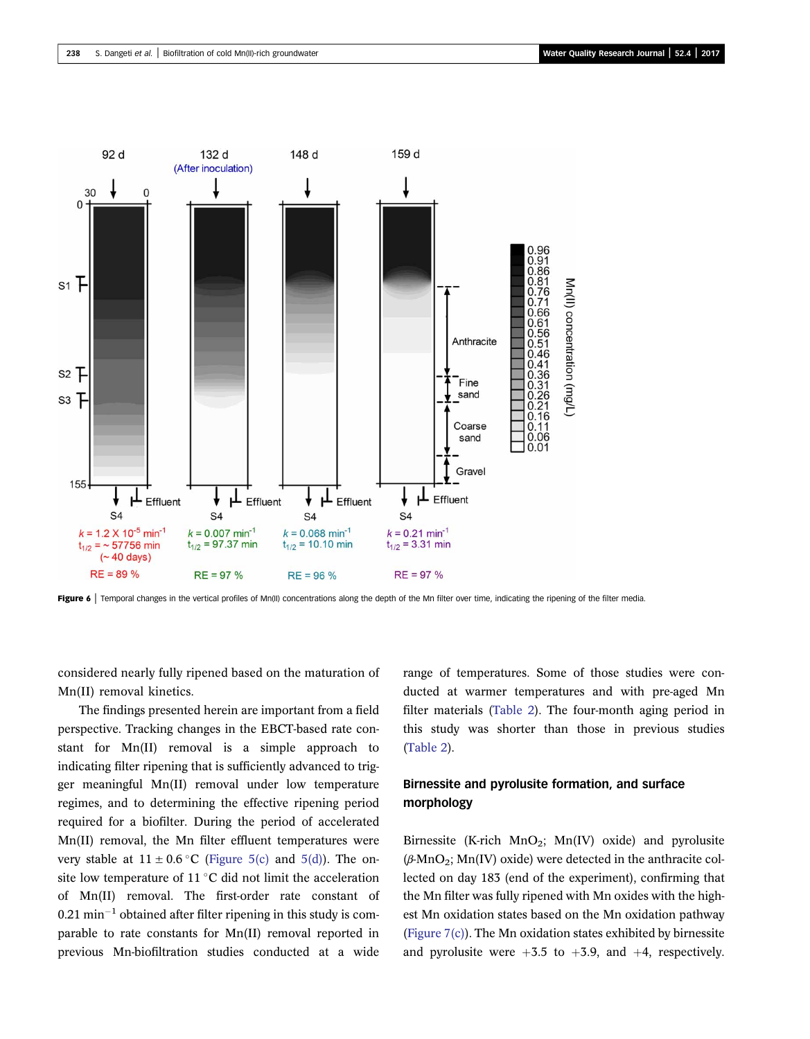<span id="page-9-0"></span>

Figure 6 | Temporal changes in the vertical profiles of Mn(II) concentrations along the depth of the Mn filter over time, indicating the ripening of the filter media.

considered nearly fully ripened based on the maturation of Mn(II) removal kinetics.

The findings presented herein are important from a field perspective. Tracking changes in the EBCT-based rate constant for Mn(II) removal is a simple approach to indicating filter ripening that is sufficiently advanced to trigger meaningful Mn(II) removal under low temperature regimes, and to determining the effective ripening period required for a biofilter. During the period of accelerated Mn(II) removal, the Mn filter effluent temperatures were very stable at  $11 \pm 0.6$  °C [\(Figure 5\(c\)](#page-8-0) and [5\(d\)](#page-8-0)). The onsite low temperature of 11 $\degree$ C did not limit the acceleration of Mn(II) removal. The first-order rate constant of  $0.21$  min<sup>-1</sup> obtained after filter ripening in this study is comparable to rate constants for Mn(II) removal reported in previous Mn-biofiltration studies conducted at a wide range of temperatures. Some of those studies were conducted at warmer temperatures and with pre-aged Mn filter materials ([Table 2](#page-10-0)). The four-month aging period in this study was shorter than those in previous studies ([Table 2\)](#page-10-0).

# Birnessite and pyrolusite formation, and surface morphology

Birnessite (K-rich MnO<sub>2</sub>; Mn(IV) oxide) and pyrolusite  $(\beta-MnO_2; Mn(IV)$  oxide) were detected in the anthracite collected on day 183 (end of the experiment), confirming that the Mn filter was fully ripened with Mn oxides with the highest Mn oxidation states based on the Mn oxidation pathway ([Figure 7\(c\)\)](#page-11-0). The Mn oxidation states exhibited by birnessite and pyrolusite were  $+3.5$  to  $+3.9$ , and  $+4$ , respectively.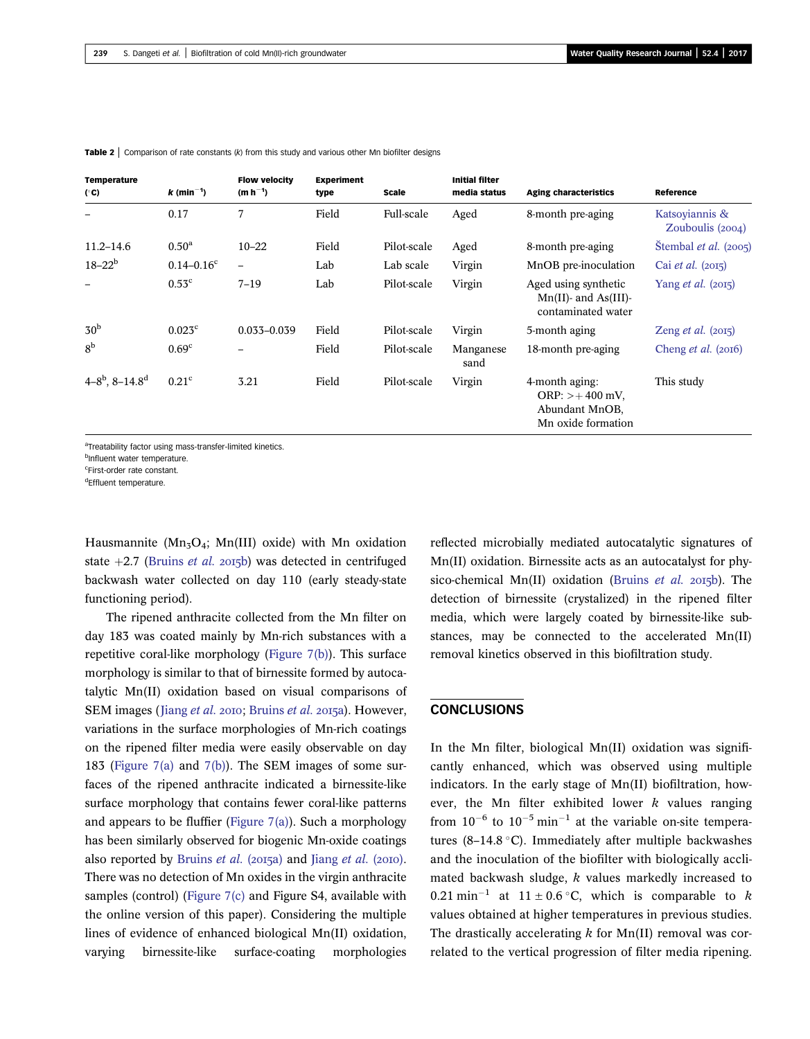| Temperature<br>$(^\circ$ C) | $k$ (min <sup>-1</sup> ) | <b>Flow velocity</b><br>$(m h^{-1})$ | <b>Experiment</b><br>type | Scale       | <b>Initial filter</b><br>media status | <b>Aging characteristics</b>                                                | Reference                          |
|-----------------------------|--------------------------|--------------------------------------|---------------------------|-------------|---------------------------------------|-----------------------------------------------------------------------------|------------------------------------|
|                             | 0.17                     | 7                                    | Field                     | Full-scale  | Aged                                  | 8-month pre-aging                                                           | Katsoyiannis &<br>Zouboulis (2004) |
| $11.2 - 14.6$               | $0.50^{\rm a}$           | $10 - 22$                            | Field                     | Pilot-scale | Aged                                  | 8-month pre-aging                                                           | Stembal <i>et al.</i> $(2005)$     |
| $18 - 22^b$                 | $0.14 - 0.16^{\circ}$    | $\overline{\phantom{0}}$             | Lab                       | Lab scale   | Virgin                                | MnOB pre-inoculation                                                        | Cai <i>et al.</i> $(2015)$         |
|                             | $0.53^{\circ}$           | $7 - 19$                             | Lab                       | Pilot-scale | Virgin                                | Aged using synthetic<br>$Mn(II)$ - and As(III)-<br>contaminated water       | Yang <i>et al.</i> (2015)          |
| 30 <sup>b</sup>             | 0.023 <sup>c</sup>       | $0.033 - 0.039$                      | Field                     | Pilot-scale | Virgin                                | 5-month aging                                                               | Zeng $et$ al. (2015)               |
| 8 <sup>b</sup>              | 0.69 <sup>c</sup>        |                                      | Field                     | Pilot-scale | Manganese<br>sand                     | 18-month pre-aging                                                          | Cheng <i>et al.</i> $(2016)$       |
| $4-8^b$ , $8-14.8^d$        | 0.21 <sup>c</sup>        | 3.21                                 | Field                     | Pilot-scale | Virgin                                | 4-month aging:<br>$ORP: > +400$ mV,<br>Abundant MnOB,<br>Mn oxide formation | This study                         |

<span id="page-10-0"></span>**Table 2** | Comparison of rate constants (k) from this study and various other Mn biofilter designs

aTreatability factor using mass-transfer-limited kinetics.

<sup>b</sup>Influent water temperature.

c First-order rate constant.

<sup>d</sup>Effluent temperature.

Hausmannite ( $Mn<sub>3</sub>O<sub>4</sub>$ ; Mn(III) oxide) with Mn oxidation state  $+2.7$  ([Bruins](#page-12-0) *et al.* 2015b) was detected in centrifuged backwash water collected on day 110 (early steady-state functioning period).

The ripened anthracite collected from the Mn filter on day 183 was coated mainly by Mn-rich substances with a repetitive coral-like morphology [\(Figure 7\(b\)](#page-11-0)). This surface morphology is similar to that of birnessite formed by autocatalytic Mn(II) oxidation based on visual comparisons of SEM images ([Jiang](#page-12-0) et al. 2010; [Bruins](#page-12-0) et al. 2015a). However, variations in the surface morphologies of Mn-rich coatings on the ripened filter media were easily observable on day 183 ([Figure 7\(a\)](#page-11-0) and [7\(b\)](#page-11-0)). The SEM images of some surfaces of the ripened anthracite indicated a birnessite-like surface morphology that contains fewer coral-like patterns and appears to be fluffier (Figure  $7(a)$ ). Such a morphology has been similarly observed for biogenic Mn-oxide coatings also reported by [Bruins](#page-12-0) et al.  $(20I5a)$  and [Jiang](#page-12-0) et al.  $(20I0)$ . There was no detection of Mn oxides in the virgin anthracite samples (control) ([Figure 7\(c\)](#page-11-0) and Figure S4, available with the online version of this paper). Considering the multiple lines of evidence of enhanced biological Mn(II) oxidation, varying birnessite-like surface-coating morphologies reflected microbially mediated autocatalytic signatures of Mn(II) oxidation. Birnessite acts as an autocatalyst for phy-sico-chemical Mn(II) oxidation ([Bruins](#page-12-0) et al.  $2015b$ ). The detection of birnessite (crystalized) in the ripened filter media, which were largely coated by birnessite-like substances, may be connected to the accelerated Mn(II) removal kinetics observed in this biofiltration study.

#### **CONCLUSIONS**

In the Mn filter, biological Mn(II) oxidation was significantly enhanced, which was observed using multiple indicators. In the early stage of Mn(II) biofiltration, however, the Mn filter exhibited lower  $k$  values ranging from  $10^{-6}$  to  $10^{-5}$  min<sup>-1</sup> at the variable on-site temperatures (8–14.8 °C). Immediately after multiple backwashes and the inoculation of the biofilter with biologically acclimated backwash sludge,  $k$  values markedly increased to 0.21 min<sup>-1</sup> at  $11 \pm 0.6$  °C, which is comparable to k values obtained at higher temperatures in previous studies. The drastically accelerating  $k$  for Mn(II) removal was correlated to the vertical progression of filter media ripening.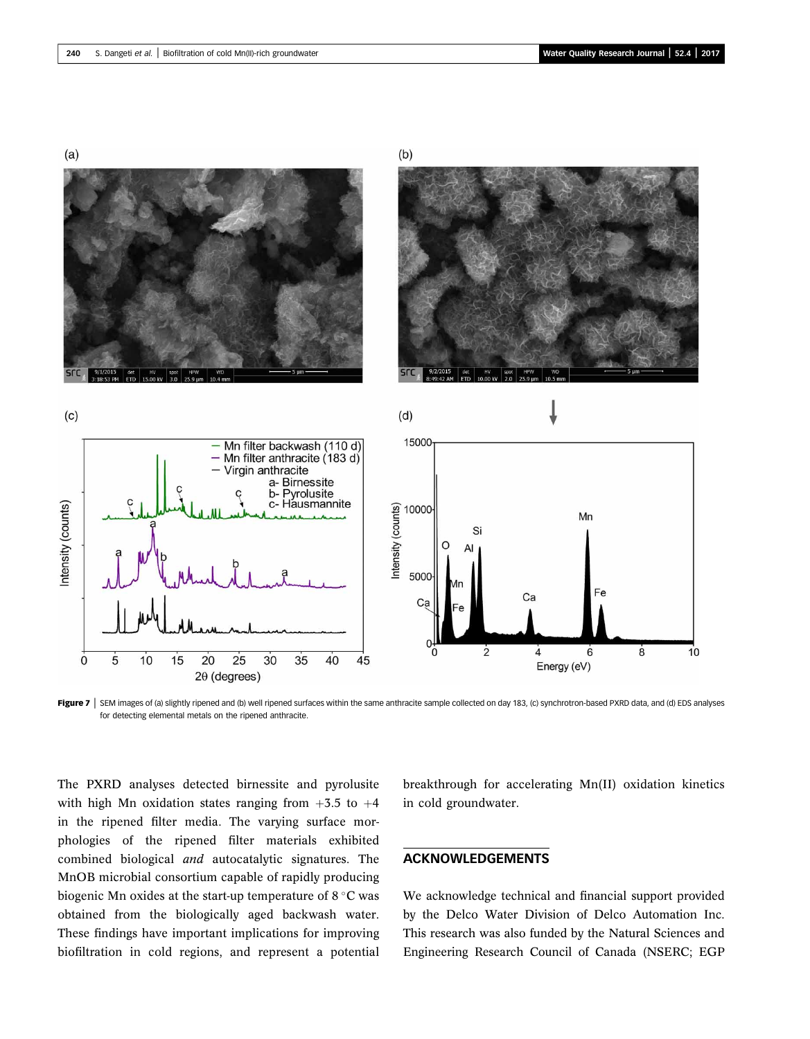<span id="page-11-0"></span>

Figure 7 SEM images of (a) slightly ripened and (b) well ripened surfaces within the same anthracite sample collected on day 183, (c) synchrotron-based PXRD data, and (d) EDS analyses for detecting elemental metals on the ripened anthracite.

The PXRD analyses detected birnessite and pyrolusite with high Mn oxidation states ranging from  $+3.5$  to  $+4$ in the ripened filter media. The varying surface morphologies of the ripened filter materials exhibited combined biological and autocatalytic signatures. The MnOB microbial consortium capable of rapidly producing biogenic Mn oxides at the start-up temperature of  $8^{\circ}$ C was obtained from the biologically aged backwash water. These findings have important implications for improving biofiltration in cold regions, and represent a potential

breakthrough for accelerating Mn(II) oxidation kinetics in cold groundwater.

### ACKNOWLEDGEMENTS

We acknowledge technical and financial support provided by the Delco Water Division of Delco Automation Inc. This research was also funded by the Natural Sciences and Engineering Research Council of Canada (NSERC; EGP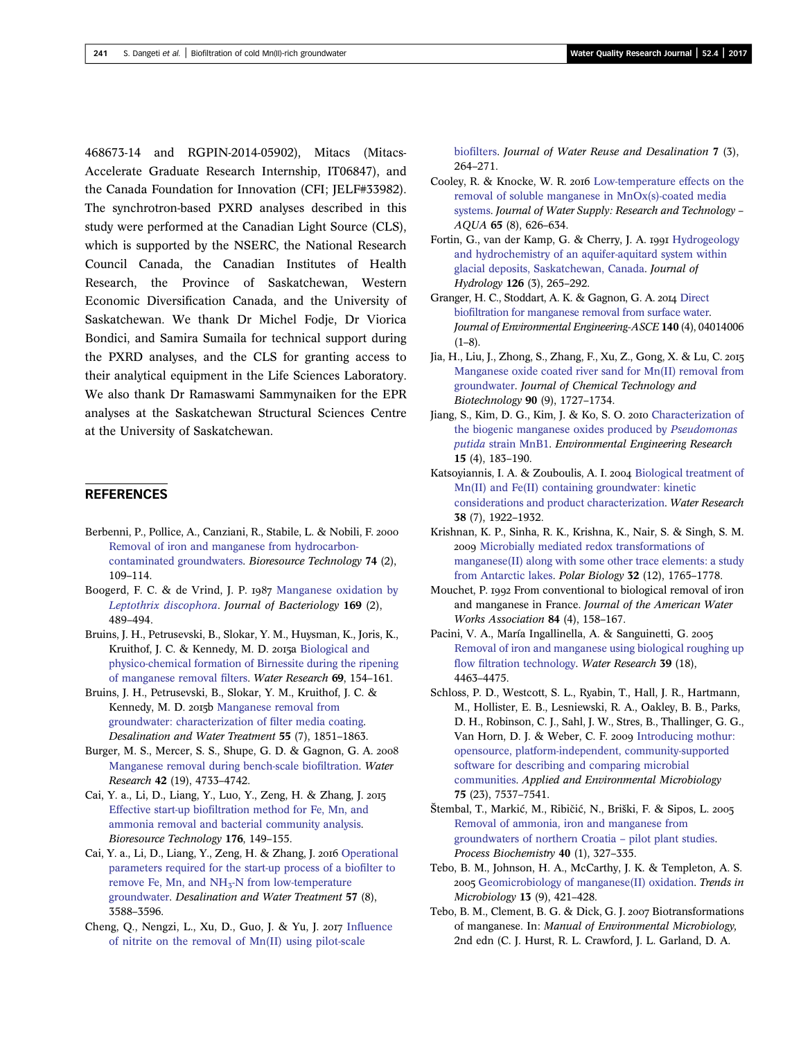<span id="page-12-0"></span>468673-14 and RGPIN-2014-05902), Mitacs (Mitacs-Accelerate Graduate Research Internship, IT06847), and the Canada Foundation for Innovation (CFI; JELF#33982). The synchrotron-based PXRD analyses described in this study were performed at the Canadian Light Source (CLS), which is supported by the NSERC, the National Research Council Canada, the Canadian Institutes of Health Research, the Province of Saskatchewan, Western Economic Diversification Canada, and the University of Saskatchewan. We thank Dr Michel Fodje, Dr Viorica Bondici, and Samira Sumaila for technical support during the PXRD analyses, and the CLS for granting access to their analytical equipment in the Life Sciences Laboratory. We also thank Dr Ramaswami Sammynaiken for the EPR analyses at the Saskatchewan Structural Sciences Centre at the University of Saskatchewan.

## **REFERENCES**

- Berbenni, P., Pollice, A., Canziani, R., Stabile, L. & Nobili, F. [Removal of iron and manganese from hydrocarbon](http://dx.doi.org/10.1016/S0960-8524(00)00003-1)[contaminated groundwaters.](http://dx.doi.org/10.1016/S0960-8524(00)00003-1) Bioresource Technology 74 (2), 109–114.
- Boogerd, F. C. & de Vrind, J. P. 1987 [Manganese oxidation by](http://dx.doi.org/10.1128/jb.169.2.489-494.1987) [Leptothrix discophora](http://dx.doi.org/10.1128/jb.169.2.489-494.1987). Journal of Bacteriology 169 (2), 489–494.
- Bruins, J. H., Petrusevski, B., Slokar, Y. M., Huysman, K., Joris, K., Kruithof, J. C. & Kennedy, M. D. 2015a [Biological and](http://dx.doi.org/10.1016/j.watres.2014.11.019) [physico-chemical formation of Birnessite during the ripening](http://dx.doi.org/10.1016/j.watres.2014.11.019) [of manganese removal](http://dx.doi.org/10.1016/j.watres.2014.11.019) filters. Water Research 69, 154–161.
- Bruins, J. H., Petrusevski, B., Slokar, Y. M., Kruithof, J. C. & Kennedy, M. D. 2015b [Manganese removal from](http://dx.doi.org/10.1080/19443994.2014.927802) [groundwater: characterization of](http://dx.doi.org/10.1080/19443994.2014.927802) filter media coating. Desalination and Water Treatment 55 (7), 1851–1863.
- Burger, M. S., Mercer, S. S., Shupe, G. D. & Gagnon, G. A. [Manganese removal during bench-scale bio](http://dx.doi.org/10.1016/j.watres.2008.08.024)filtration. Water Research 42 (19), 4733–4742.
- Cai, Y. a., Li, D., Liang, Y., Luo, Y., Zeng, H. & Zhang, J. Effective start-up biofi[ltration method for Fe, Mn, and](http://dx.doi.org/10.1016/j.biortech.2014.11.025) [ammonia removal and bacterial community analysis.](http://dx.doi.org/10.1016/j.biortech.2014.11.025) Bioresource Technology 176, 149–155.
- Cai, Y. a., Li, D., Liang, Y., Zeng, H. & Zhang, J. 2016 [Operational](http://dx.doi.org/10.1080/19443994.2014.986203) [parameters required for the start-up process of a bio](http://dx.doi.org/10.1080/19443994.2014.986203)filter to remove Fe, Mn, and  $NH<sub>3</sub>-N$  from low-temperature [groundwater.](http://dx.doi.org/10.1080/19443994.2014.986203) Desalination and Water Treatment 57 (8), 3588–3596.
- Cheng, Q., Nengzi, L., Xu, D., Guo, J. & Yu, J. 2017 Infl[uence](http://dx.doi.org/10.2166/wrd.2016.210) [of nitrite on the removal of Mn\(II\) using pilot-scale](http://dx.doi.org/10.2166/wrd.2016.210)

biofi[lters](http://dx.doi.org/10.2166/wrd.2016.210). Journal of Water Reuse and Desalination 7 (3), 264–271.

- Cooley, R. & Knocke, W. R. 2016 [Low-temperature effects on the](http://dx.doi.org/10.2166/aqua.2016.077) [removal of soluble manganese in MnOx\(s\)-coated media](http://dx.doi.org/10.2166/aqua.2016.077) [systems](http://dx.doi.org/10.2166/aqua.2016.077). Journal of Water Supply: Research and Technology – AQUA 65 (8), 626–634.
- Fortin, G., van der Kamp, G. & Cherry, J. A. 1991 [Hydrogeology](http://dx.doi.org/10.1016/0022-1694(91)90160-J) [and hydrochemistry of an aquifer-aquitard system within](http://dx.doi.org/10.1016/0022-1694(91)90160-J) [glacial deposits, Saskatchewan, Canada](http://dx.doi.org/10.1016/0022-1694(91)90160-J). Journal of Hydrology 126 (3), 265–292.
- Granger, H. C., Stoddart, A. K. & Gagnon, G. A. 2014 [Direct](http://dx.doi.org/10.1061/(ASCE)EE.1943-7870.0000819) biofi[ltration for manganese removal from surface water.](http://dx.doi.org/10.1061/(ASCE)EE.1943-7870.0000819) Journal of Environmental Engineering-ASCE 140 (4), 04014006  $(1-8)$ .
- Jia, H., Liu, J., Zhong, S., Zhang, F., Xu, Z., Gong, X. & Lu, C. [Manganese oxide coated river sand for Mn\(II\) removal from](http://dx.doi.org/10.1002/jctb.4524) [groundwater](http://dx.doi.org/10.1002/jctb.4524). Journal of Chemical Technology and Biotechnology 90 (9), 1727–1734.
- Jiang, S., Kim, D. G., Kim, J. & Ko, S. O. [Characterization of](http://dx.doi.org/10.4491/eer.2010.15.4.183) [the biogenic manganese oxides produced by](http://dx.doi.org/10.4491/eer.2010.15.4.183) Pseudomonas putida [strain MnB1](http://dx.doi.org/10.4491/eer.2010.15.4.183). Environmental Engineering Research 15 (4), 183–190.
- Katsoyiannis, I. A. & Zouboulis, A. I. 2004 [Biological treatment of](http://dx.doi.org/10.1016/j.watres.2004.01.014) [Mn\(II\) and Fe\(II\) containing groundwater: kinetic](http://dx.doi.org/10.1016/j.watres.2004.01.014) [considerations and product characterization](http://dx.doi.org/10.1016/j.watres.2004.01.014). Water Research 38 (7), 1922–1932.
- Krishnan, K. P., Sinha, R. K., Krishna, K., Nair, S. & Singh, S. M. 2009 [Microbially mediated redox transformations of](http://dx.doi.org/10.1007/s00300-009-0676-4) [manganese\(II\) along with some other trace elements: a study](http://dx.doi.org/10.1007/s00300-009-0676-4) [from Antarctic lakes](http://dx.doi.org/10.1007/s00300-009-0676-4). Polar Biology 32 (12), 1765–1778.
- Mouchet, P. 1992 From conventional to biological removal of iron and manganese in France. Journal of the American Water Works Association 84 (4), 158–167.
- Pacini, V. A., María Ingallinella, A. & Sanguinetti, G. [Removal of iron and manganese using biological roughing up](http://dx.doi.org/10.1016/j.watres.2005.08.027) flow fi[ltration technology](http://dx.doi.org/10.1016/j.watres.2005.08.027). Water Research 39 (18), 4463–4475.
- Schloss, P. D., Westcott, S. L., Ryabin, T., Hall, J. R., Hartmann, M., Hollister, E. B., Lesniewski, R. A., Oakley, B. B., Parks, D. H., Robinson, C. J., Sahl, J. W., Stres, B., Thallinger, G. G., Van Horn, D. J. & Weber, C. F. 2009 [Introducing mothur:](http://dx.doi.org/10.1128/AEM.01541-09) [opensource, platform-independent, community-supported](http://dx.doi.org/10.1128/AEM.01541-09) [software for describing and comparing microbial](http://dx.doi.org/10.1128/AEM.01541-09) [communities](http://dx.doi.org/10.1128/AEM.01541-09). Applied and Environmental Microbiology 75 (23), 7537–7541.
- Štembal, T., Markić, M., Ribičić, N., Briški, F. & Sipos, L. 2005 [Removal of ammonia, iron and manganese from](http://dx.doi.org/10.1016/j.procbio.2004.01.006) [groundwaters of northern Croatia](http://dx.doi.org/10.1016/j.procbio.2004.01.006) – pilot plant studies. Process Biochemistry 40 (1), 327–335.
- Tebo, B. M., Johnson, H. A., McCarthy, J. K. & Templeton, A. S. 2005 [Geomicrobiology of manganese\(II\) oxidation](http://dx.doi.org/10.1016/j.tim.2005.07.009). Trends in Microbiology 13 (9), 421–428.
- Tebo, B. M., Clement, B. G. & Dick, G. J. 2007 Biotransformations of manganese. In: Manual of Environmental Microbiology, 2nd edn (C. J. Hurst, R. L. Crawford, J. L. Garland, D. A.